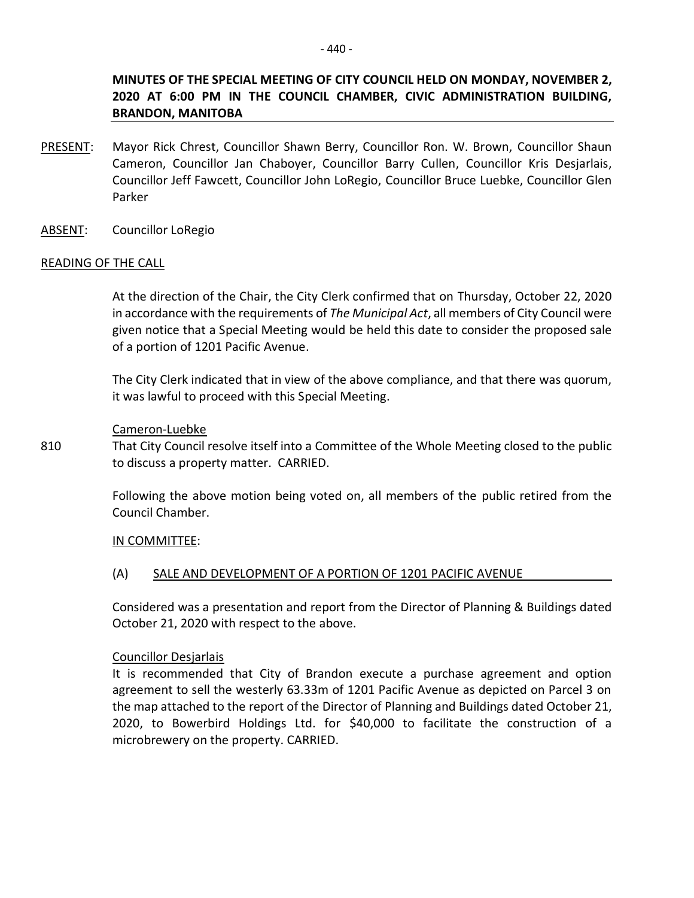# **MINUTES OF THE SPECIAL MEETING OF CITY COUNCIL HELD ON MONDAY, NOVEMBER 2, 2020 AT 6:00 PM IN THE COUNCIL CHAMBER, CIVIC ADMINISTRATION BUILDING, BRANDON, MANITOBA**

- PRESENT: Mayor Rick Chrest, Councillor Shawn Berry, Councillor Ron. W. Brown, Councillor Shaun Cameron, Councillor Jan Chaboyer, Councillor Barry Cullen, Councillor Kris Desjarlais, Councillor Jeff Fawcett, Councillor John LoRegio, Councillor Bruce Luebke, Councillor Glen Parker
- ABSENT: Councillor LoRegio

## READING OF THE CALL

At the direction of the Chair, the City Clerk confirmed that on Thursday, October 22, 2020 in accordance with the requirements of *The Municipal Act*, all members of City Council were given notice that a Special Meeting would be held this date to consider the proposed sale of a portion of 1201 Pacific Avenue.

The City Clerk indicated that in view of the above compliance, and that there was quorum, it was lawful to proceed with this Special Meeting.

## Cameron-Luebke

810 That City Council resolve itself into a Committee of the Whole Meeting closed to the public to discuss a property matter. CARRIED.

> Following the above motion being voted on, all members of the public retired from the Council Chamber.

#### IN COMMITTEE:

## (A) SALE AND DEVELOPMENT OF A PORTION OF 1201 PACIFIC AVENUE

Considered was a presentation and report from the Director of Planning & Buildings dated October 21, 2020 with respect to the above.

#### Councillor Desjarlais

It is recommended that City of Brandon execute a purchase agreement and option agreement to sell the westerly 63.33m of 1201 Pacific Avenue as depicted on Parcel 3 on the map attached to the report of the Director of Planning and Buildings dated October 21, 2020, to Bowerbird Holdings Ltd. for \$40,000 to facilitate the construction of a microbrewery on the property. CARRIED.